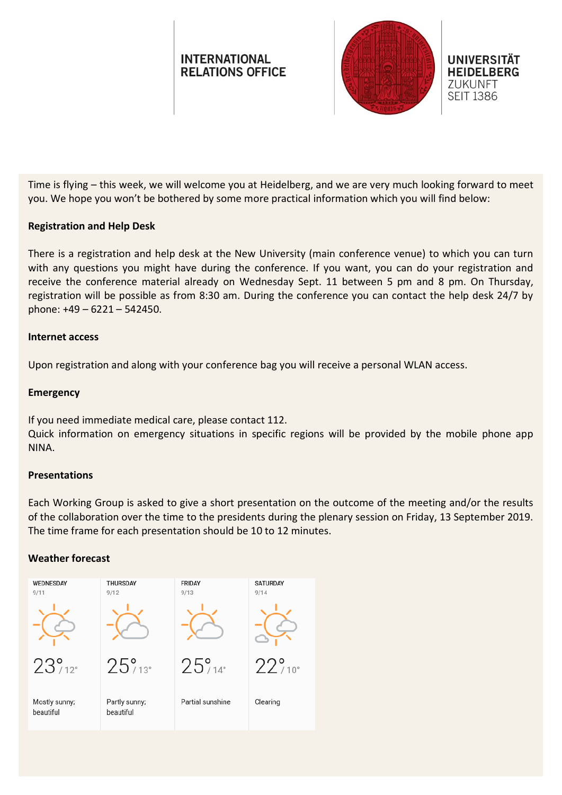# **INTERNATIONAL RELATIONS OFFICE**





Time is flying – this week, we will welcome you at Heidelberg, and we are very much looking forward to meet you. We hope you won't be bothered by some more practical information which you will find below:

### **Registration and Help Desk**

There is a registration and help desk at the New University (main conference venue) to which you can turn with any questions you might have during the conference. If you want, you can do your registration and receive the conference material already on Wednesday Sept. 11 between 5 pm and 8 pm. On Thursday, registration will be possible as from 8:30 am. During the conference you can contact the help desk 24/7 by phone: +49 – 6221 – 542450.

#### **Internet access**

Upon registration and along with your conference bag you will receive a personal WLAN access.

#### **Emergency**

If you need immediate medical care, please contact 112.

Quick information on emergency situations in specific regions will be provided by the mobile phone app NINA.

#### **Presentations**

Each Working Group is asked to give a short presentation on the outcome of the meeting and/or the results of the collaboration over the time to the presidents during the plenary session on Friday, 13 September 2019. The time frame for each presentation should be 10 to 12 minutes.

#### **Weather forecast**